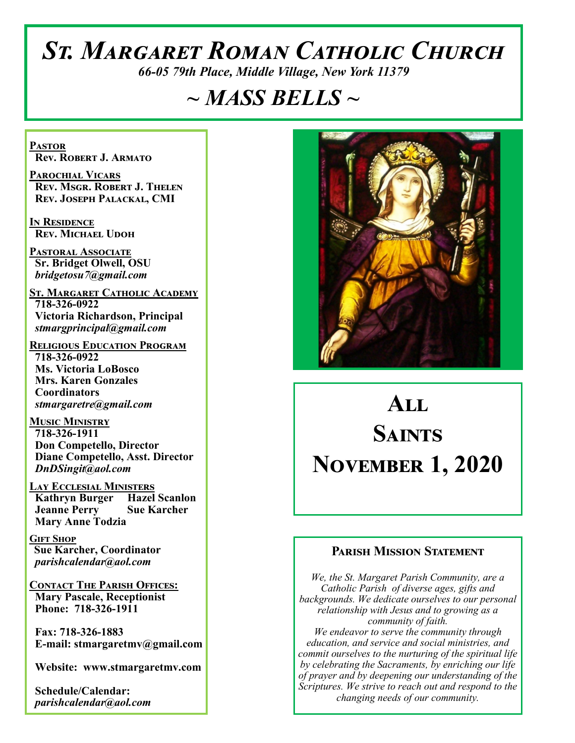# *St. Margaret Roman Catholic Church*

*66-05 79th Place, Middle Village, New York 11379*

# *~ MASS BELLS ~*

**Pastor Rev. Robert J. Armato**

**Parochial Vicars Rev. Msgr. Robert J. Thelen Rev. Joseph Palackal, CMI**

**In Residence Rev. Michael Udoh**

**Pastoral Associate Sr. Bridget Olwell, OSU**  *bridgetosu7@gmail.com*

**St. Margaret Catholic Academy 718-326-0922 Victoria Richardson, Principal**  *stmargprincipal@gmail.com*

**Religious Education Program 718-326-0922 Ms. Victoria LoBosco Mrs. Karen Gonzales Coordinators** *stmargaretre@gmail.com*

**Music Ministry 718-326-1911 Don Competello, Director Diane Competello, Asst. Director** *DnDSingit@aol.com*

**Lay Ecclesial Ministers Kathryn Burger Hazel Scanlon Jeanne Perry Sue Karcher Mary Anne Todzia**

**Gift Shop Sue Karcher, Coordinator** *parishcalendar@aol.com*

**Contact The Parish Offices: Mary Pascale, Receptionist Phone: 718-326-1911** 

 **Fax: 718-326-1883 E-mail: stmargaretmv@gmail.com**

 **Website: www.stmargaretmv.com**

 **Schedule/Calendar:** *parishcalendar@aol.com* 



# **All SAINTS November 1, 2020**

#### **Parish Mission Statement**

*We, the St. Margaret Parish Community, are a Catholic Parish of diverse ages, gifts and backgrounds. We dedicate ourselves to our personal relationship with Jesus and to growing as a community of faith. We endeavor to serve the community through education, and service and social ministries, and commit ourselves to the nurturing of the spiritual life by celebrating the Sacraments, by enriching our life of prayer and by deepening our understanding of the Scriptures. We strive to reach out and respond to the changing needs of our community.*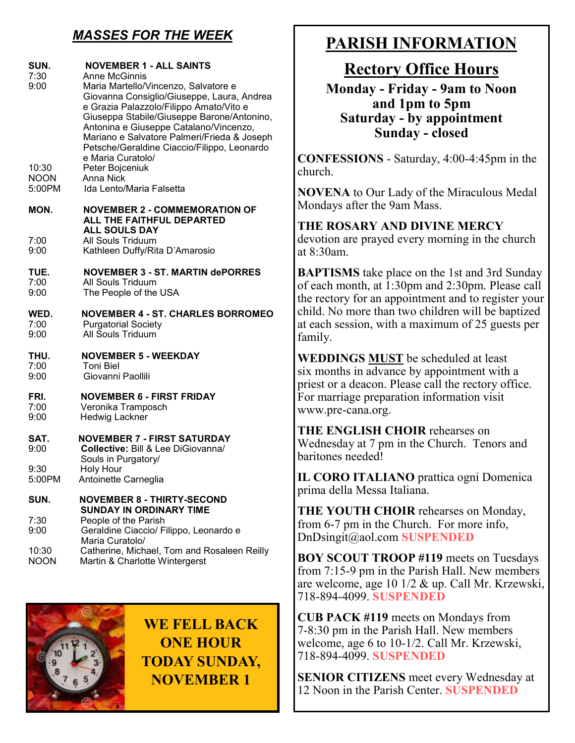# *MASSES FOR THE WEEK*

| SUN.<br>7:30<br>9:00           | <b>NOVEMBER 1 - ALL SAINTS</b><br><b>Anne McGinnis</b><br>Maria Martello/Vincenzo, Salvatore e<br>Giovanna Consiglio/Giuseppe, Laura, Andrea<br>e Grazia Palazzolo/Filippo Amato/Vito e<br>Giuseppa Stabile/Giuseppe Barone/Antonino,<br>Antonina e Giuseppe Catalano/Vincenzo,<br>Mariano e Salvatore Palmeri/Frieda & Joseph<br>Petsche/Geraldine Ciaccio/Filippo, Leonardo |
|--------------------------------|-------------------------------------------------------------------------------------------------------------------------------------------------------------------------------------------------------------------------------------------------------------------------------------------------------------------------------------------------------------------------------|
| 10:30<br><b>NOON</b><br>5:00PM | e Maria Curatolo/<br>Peter Bojceniuk<br>Anna Nick<br>Ida Lento/Maria Falsetta                                                                                                                                                                                                                                                                                                 |
| MON.                           | <b>NOVEMBER 2 - COMMEMORATION OF</b><br>ALL THE FAITHFUL DEPARTED<br><b>ALL SOULS DAY</b>                                                                                                                                                                                                                                                                                     |
| 7:00                           | All Souls Triduum                                                                                                                                                                                                                                                                                                                                                             |
| 9:00                           | Kathleen Duffy/Rita D'Amarosio                                                                                                                                                                                                                                                                                                                                                |
| TUE.                           | <b>NOVEMBER 3 - ST. MARTIN dePORRES</b>                                                                                                                                                                                                                                                                                                                                       |
| 7:00                           | All Souls Triduum                                                                                                                                                                                                                                                                                                                                                             |
| 9:00                           | The People of the USA                                                                                                                                                                                                                                                                                                                                                         |
| WED.                           | <b>NOVEMBER 4 - ST. CHARLES BORROMEO</b>                                                                                                                                                                                                                                                                                                                                      |
| 7:00                           | <b>Purgatorial Society</b>                                                                                                                                                                                                                                                                                                                                                    |
| 9:00                           | All Souls Triduum                                                                                                                                                                                                                                                                                                                                                             |
| THU.                           | <b>NOVEMBER 5 - WEEKDAY</b>                                                                                                                                                                                                                                                                                                                                                   |
| 7:00                           | <b>Toni Biel</b>                                                                                                                                                                                                                                                                                                                                                              |
| 9:00                           | Giovanni Paollili                                                                                                                                                                                                                                                                                                                                                             |
| FRI.                           | <b>NOVEMBER 6 - FIRST FRIDAY</b>                                                                                                                                                                                                                                                                                                                                              |
| 7:00                           | Veronika Tramposch                                                                                                                                                                                                                                                                                                                                                            |
| 9:00                           | <b>Hedwig Lackner</b>                                                                                                                                                                                                                                                                                                                                                         |
| SAT.<br>9:00                   | <b>NOVEMBER 7 - FIRST SATURDAY</b><br><b>Collective: Bill &amp; Lee DiGiovanna/</b><br>Souls in Purgatory/                                                                                                                                                                                                                                                                    |
| 9:30                           | Holy Hour                                                                                                                                                                                                                                                                                                                                                                     |
| 5:00PM                         | Antoinette Carneglia                                                                                                                                                                                                                                                                                                                                                          |
| SUN.                           | <b>NOVEMBER 8 - THIRTY-SECOND</b><br><b>SUNDAY IN ORDINARY TIME</b>                                                                                                                                                                                                                                                                                                           |
| 7:30<br>9:00                   | People of the Parish<br>Geraldine Ciaccio/ Filippo, Leonardo e<br>Maria Curatolo/                                                                                                                                                                                                                                                                                             |
| 10:30                          | Catherine, Michael, Tom and Rosaleen Reilly                                                                                                                                                                                                                                                                                                                                   |
| <b>NOON</b>                    | Martin & Charlotte Wintergerst                                                                                                                                                                                                                                                                                                                                                |



**WE FELL BACK ONE HOUR TODAY SUNDAY, NOVEMBER 1**

# **PARISH INFORMATION**

**Rectory Office Hours** 

**Monday - Friday - 9am to Noon and 1pm to 5pm Saturday - by appointment Sunday - closed**

**CONFESSIONS** - Saturday, 4:00-4:45pm in the church.

**NOVENA** to Our Lady of the Miraculous Medal Mondays after the 9am Mass.

**THE ROSARY AND DIVINE MERCY** devotion are prayed every morning in the church at 8:30am.

**BAPTISMS** take place on the 1st and 3rd Sunday of each month, at 1:30pm and 2:30pm. Please call the rectory for an appointment and to register your child. No more than two children will be baptized at each session, with a maximum of 25 guests per family.

**WEDDINGS MUST** be scheduled at least six months in advance by appointment with a priest or a deacon. Please call the rectory office. For marriage preparation information visit www.pre-cana.org.

**THE ENGLISH CHOIR** rehearses on Wednesday at 7 pm in the Church. Tenors and baritones needed!

**IL CORO ITALIANO** prattica ogni Domenica prima della Messa Italiana.

**THE YOUTH CHOIR** rehearses on Monday, from 6-7 pm in the Church. For more info, DnDsingit@aol.com **SUSPENDED**

**BOY SCOUT TROOP #119** meets on Tuesdays from 7:15-9 pm in the Parish Hall. New members are welcome, age 10 1/2 & up. Call Mr. Krzewski, 718-894-4099. **SUSPENDED**

**CUB PACK #119** meets on Mondays from 7-8:30 pm in the Parish Hall. New members welcome, age 6 to 10-1/2. Call Mr. Krzewski, 718-894-4099. **SUSPENDED**

**SENIOR CITIZENS** meet every Wednesday at 12 Noon in the Parish Center. **SUSPENDED**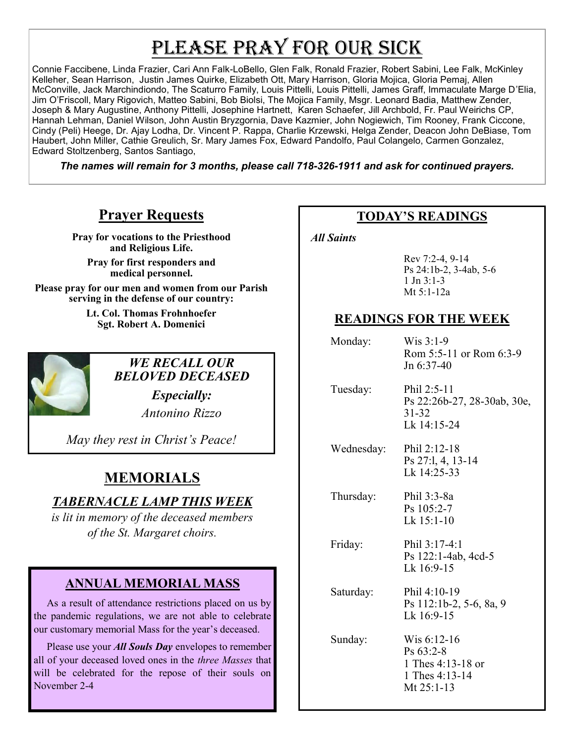# PLEASE PRAY FOR OUR SICK

Connie Faccibene, Linda Frazier, Cari Ann Falk-LoBello, Glen Falk, Ronald Frazier, Robert Sabini, Lee Falk, McKinley Kelleher, Sean Harrison, Justin James Quirke, Elizabeth Ott, Mary Harrison, Gloria Mojica, Gloria Pemaj, Allen McConville, Jack Marchindiondo, The Scaturro Family, Louis Pittelli, Louis Pittelli, James Graff, Immaculate Marge D'Elia, Jim O'Friscoll, Mary Rigovich, Matteo Sabini, Bob Biolsi, The Mojica Family, Msgr. Leonard Badia, Matthew Zender, Joseph & Mary Augustine, Anthony Pittelli, Josephine Hartnett, Karen Schaefer, Jill Archbold, Fr. Paul Weirichs CP, Hannah Lehman, Daniel Wilson, John Austin Bryzgornia, Dave Kazmier, John Nogiewich, Tim Rooney, Frank Ciccone, Cindy (Peli) Heege, Dr. Ajay Lodha, Dr. Vincent P. Rappa, Charlie Krzewski, Helga Zender, Deacon John DeBiase, Tom Haubert, John Miller, Cathie Greulich, Sr. Mary James Fox, Edward Pandolfo, Paul Colangelo, Carmen Gonzalez, Edward Stoltzenberg, Santos Santiago,

*The names will remain for 3 months, please call 718-326-1911 and ask for continued prayers.*

## **Prayer Requests**

**Pray for vocations to the Priesthood and Religious Life.** 

**Pray for first responders and medical personnel.**

**Please pray for our men and women from our Parish serving in the defense of our country:** 

> **Lt. Col. Thomas Frohnhoefer Sgt. Robert A. Domenici**



*WE RECALL OUR BELOVED DECEASED*

> *Especially: Antonino Rizzo*

*May they rest in Christ's Peace!*

# **MEMORIALS**

# *TABERNACLE LAMP THIS WEEK*

*is lit in memory of the deceased members of the St. Margaret choirs.* 

#### **ANNUAL MEMORIAL MASS**

 As a result of attendance restrictions placed on us by the pandemic regulations, we are not able to celebrate our customary memorial Mass for the year's deceased.

 Please use your *All Souls Day* envelopes to remember all of your deceased loved ones in the *three Masses* that will be celebrated for the repose of their souls on November 2-4

#### **TODAY'S READINGS**

 *All Saints* 

Rev 7:2-4, 9-14 Ps 24:1b-2, 3-4ab, 5-6  $1$  Jn  $3:1-3$ Mt 5:1-12a

### **READINGS FOR THE WEEK**

 Monday: Wis 3:1-9 Rom 5:5-11 or Rom 6:3-9 Jn 6:37-40

 Tuesday: Phil 2:5-11 Ps 22:26b-27, 28-30ab, 30e, 31-32 Lk 14:15-24

 Wednesday: Phil 2:12-18 Ps 27:l, 4, 13-14 Lk 14:25-33

 Thursday: Phil 3:3-8a Ps 105:2-7

Lk 15:1-10 Friday: Phil 3:17-4:1

> Ps 122:1-4ab, 4cd-5 Lk 16:9-15

 Saturday: Phil 4:10-19 Ps 112:1b-2, 5-6, 8a, 9 Lk 16:9-15

 Sunday: Wis 6:12-16 Ps 63:2-8 1 Thes 4:13-18 or 1 Thes 4:13-14 Mt 25:1-13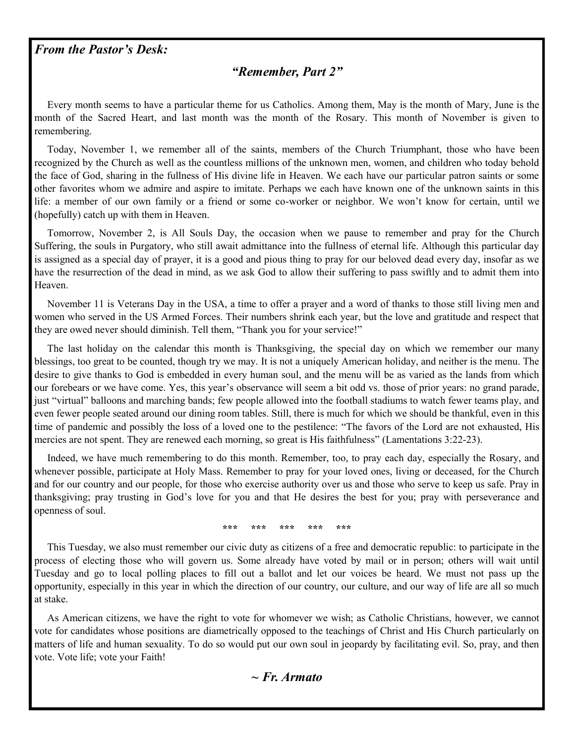#### *From the Pastor's Desk:*

#### *"Remember, Part 2"*

 Every month seems to have a particular theme for us Catholics. Among them, May is the month of Mary, June is the month of the Sacred Heart, and last month was the month of the Rosary. This month of November is given to remembering.

 Today, November 1, we remember all of the saints, members of the Church Triumphant, those who have been recognized by the Church as well as the countless millions of the unknown men, women, and children who today behold the face of God, sharing in the fullness of His divine life in Heaven. We each have our particular patron saints or some other favorites whom we admire and aspire to imitate. Perhaps we each have known one of the unknown saints in this life: a member of our own family or a friend or some co-worker or neighbor. We won't know for certain, until we (hopefully) catch up with them in Heaven.

 Tomorrow, November 2, is All Souls Day, the occasion when we pause to remember and pray for the Church Suffering, the souls in Purgatory, who still await admittance into the fullness of eternal life. Although this particular day is assigned as a special day of prayer, it is a good and pious thing to pray for our beloved dead every day, insofar as we have the resurrection of the dead in mind, as we ask God to allow their suffering to pass swiftly and to admit them into Heaven.

 November 11 is Veterans Day in the USA, a time to offer a prayer and a word of thanks to those still living men and women who served in the US Armed Forces. Their numbers shrink each year, but the love and gratitude and respect that they are owed never should diminish. Tell them, "Thank you for your service!"

 The last holiday on the calendar this month is Thanksgiving, the special day on which we remember our many blessings, too great to be counted, though try we may. It is not a uniquely American holiday, and neither is the menu. The desire to give thanks to God is embedded in every human soul, and the menu will be as varied as the lands from which our forebears or we have come. Yes, this year's observance will seem a bit odd vs. those of prior years: no grand parade, just "virtual" balloons and marching bands; few people allowed into the football stadiums to watch fewer teams play, and even fewer people seated around our dining room tables. Still, there is much for which we should be thankful, even in this time of pandemic and possibly the loss of a loved one to the pestilence: "The favors of the Lord are not exhausted, His mercies are not spent. They are renewed each morning, so great is His faithfulness" (Lamentations 3:22-23).

 Indeed, we have much remembering to do this month. Remember, too, to pray each day, especially the Rosary, and whenever possible, participate at Holy Mass. Remember to pray for your loved ones, living or deceased, for the Church and for our country and our people, for those who exercise authority over us and those who serve to keep us safe. Pray in thanksgiving; pray trusting in God's love for you and that He desires the best for you; pray with perseverance and openness of soul.

**\*\*\* \*\*\* \*\*\* \*\*\* \*\*\***

 This Tuesday, we also must remember our civic duty as citizens of a free and democratic republic: to participate in the process of electing those who will govern us. Some already have voted by mail or in person; others will wait until Tuesday and go to local polling places to fill out a ballot and let our voices be heard. We must not pass up the opportunity, especially in this year in which the direction of our country, our culture, and our way of life are all so much at stake.

 As American citizens, we have the right to vote for whomever we wish; as Catholic Christians, however, we cannot vote for candidates whose positions are diametrically opposed to the teachings of Christ and His Church particularly on matters of life and human sexuality. To do so would put our own soul in jeopardy by facilitating evil. So, pray, and then vote. Vote life; vote your Faith!

*~ Fr. Armato*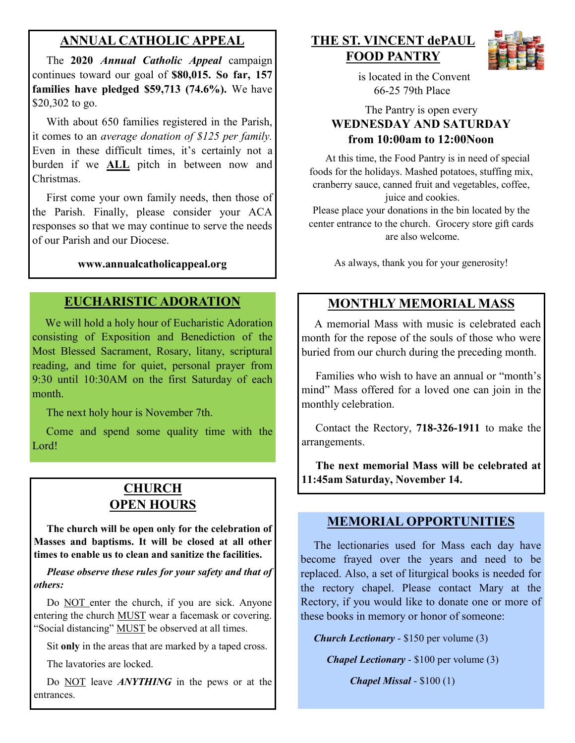#### **ANNUAL CATHOLIC APPEAL**

 The **2020** *Annual Catholic Appeal* campaign continues toward our goal of **\$80,015. So far, 157 families have pledged \$59,713 (74.6%).** We have \$20,302 to go.

With about 650 families registered in the Parish, it comes to an *average donation of \$125 per family.*  Even in these difficult times, it's certainly not a burden if we **ALL** pitch in between now and Christmas.

 First come your own family needs, then those of the Parish. Finally, please consider your ACA responses so that we may continue to serve the needs of our Parish and our Diocese.

#### **www.annualcatholicappeal.org**

#### **EUCHARISTIC ADORATION**

 We will hold a holy hour of Eucharistic Adoration consisting of Exposition and Benediction of the Most Blessed Sacrament, Rosary, litany, scriptural reading, and time for quiet, personal prayer from 9:30 until 10:30AM on the first Saturday of each month.

The next holy hour is November 7th.

 Come and spend some quality time with the Lord!

## **CHURCH OPEN HOURS**

 **The church will be open only for the celebration of Masses and baptisms. It will be closed at all other times to enable us to clean and sanitize the facilities.**

*Please observe these rules for your safety and that of others:*

Do NOT enter the church, if you are sick. Anyone entering the church MUST wear a facemask or covering. "Social distancing" MUST be observed at all times.

Sit **only** in the areas that are marked by a taped cross.

The lavatories are locked.

 Do NOT leave *ANYTHING* in the pews or at the entrances.

**THE ST. VINCENT dePAUL FOOD PANTRY**



 is located in the Convent 66-25 79th Place

#### The Pantry is open every **WEDNESDAY AND SATURDAY from 10:00am to 12:00Noon**

 At this time, the Food Pantry is in need of special foods for the holidays. Mashed potatoes, stuffing mix, cranberry sauce, canned fruit and vegetables, coffee, juice and cookies.

Please place your donations in the bin located by the center entrance to the church. Grocery store gift cards are also welcome.

As always, thank you for your generosity!

# **MONTHLY MEMORIAL MASS**

 A memorial Mass with music is celebrated each month for the repose of the souls of those who were buried from our church during the preceding month.

 Families who wish to have an annual or "month's mind" Mass offered for a loved one can join in the monthly celebration.

 Contact the Rectory, **718-326-1911** to make the arrangements.

 **The next memorial Mass will be celebrated at 11:45am Saturday, November 14.** 

#### **MEMORIAL OPPORTUNITIES**

 The lectionaries used for Mass each day have become frayed over the years and need to be replaced. Also, a set of liturgical books is needed for the rectory chapel. Please contact Mary at the Rectory, if you would like to donate one or more of these books in memory or honor of someone:

 *Church Lectionary* - \$150 per volume (3)

*Chapel Lectionary* - \$100 per volume (3)

*Chapel Missal* - \$100 (1)